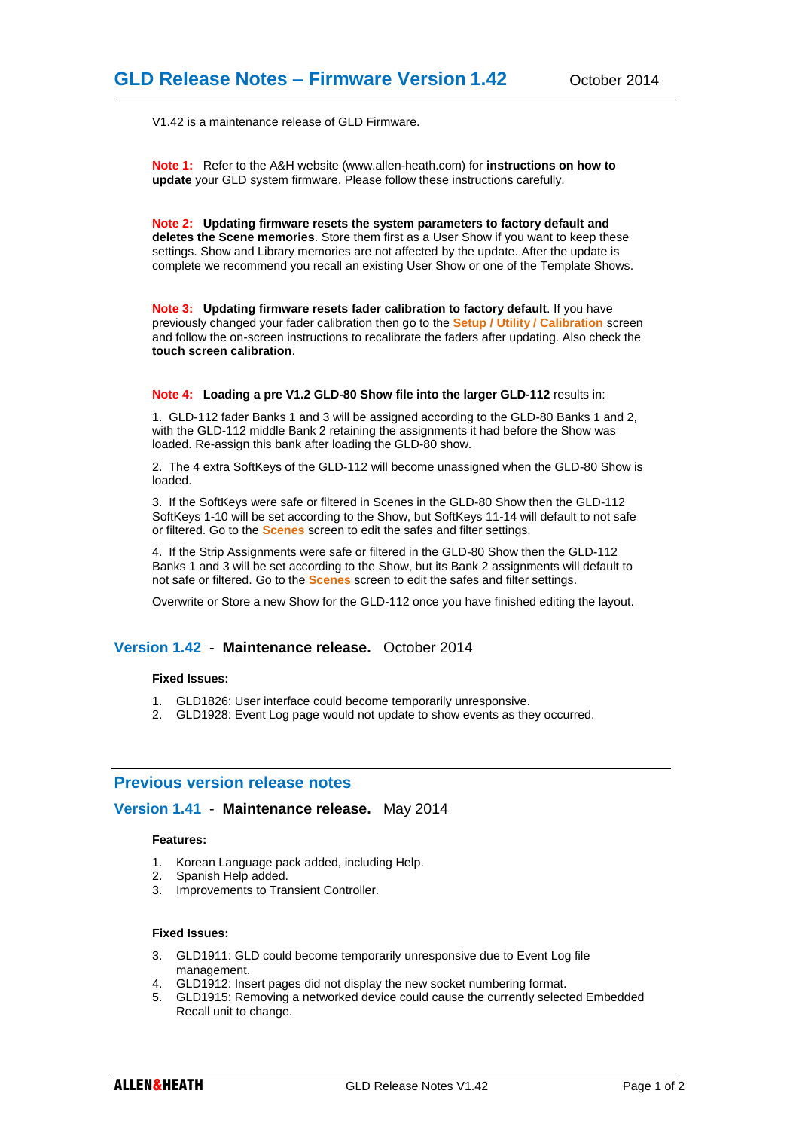V1.42 is a maintenance release of GLD Firmware.

**Note 1:** Refer to the A&H website (www.allen-heath.com) for **instructions on how to update** your GLD system firmware. Please follow these instructions carefully.

**Note 2: Updating firmware resets the system parameters to factory default and deletes the Scene memories**. Store them first as a User Show if you want to keep these settings. Show and Library memories are not affected by the update. After the update is complete we recommend you recall an existing User Show or one of the Template Shows.

**Note 3: Updating firmware resets fader calibration to factory default**. If you have previously changed your fader calibration then go to the **Setup / Utility / Calibration** screen and follow the on-screen instructions to recalibrate the faders after updating. Also check the **touch screen calibration**.

### **Note 4: Loading a pre V1.2 GLD-80 Show file into the larger GLD-112** results in:

1. GLD-112 fader Banks 1 and 3 will be assigned according to the GLD-80 Banks 1 and 2, with the GLD-112 middle Bank 2 retaining the assignments it had before the Show was loaded. Re-assign this bank after loading the GLD-80 show.

2. The 4 extra SoftKeys of the GLD-112 will become unassigned when the GLD-80 Show is loaded.

3. If the SoftKeys were safe or filtered in Scenes in the GLD-80 Show then the GLD-112 SoftKeys 1-10 will be set according to the Show, but SoftKeys 11-14 will default to not safe or filtered. Go to the **Scenes** screen to edit the safes and filter settings.

4. If the Strip Assignments were safe or filtered in the GLD-80 Show then the GLD-112 Banks 1 and 3 will be set according to the Show, but its Bank 2 assignments will default to not safe or filtered. Go to the **Scenes** screen to edit the safes and filter settings.

Overwrite or Store a new Show for the GLD-112 once you have finished editing the layout.

# **Version 1.42** - **Maintenance release.** October 2014

### **Fixed Issues:**

- 1. GLD1826: User interface could become temporarily unresponsive.
- 2. GLD1928: Event Log page would not update to show events as they occurred.

# **Previous version release notes**

## **Version 1.41** - **Maintenance release.** May 2014

### **Features:**

- 1. Korean Language pack added, including Help.
- 2. Spanish Help added.
- 3. Improvements to Transient Controller.

## **Fixed Issues:**

- 3. GLD1911: GLD could become temporarily unresponsive due to Event Log file management.
- 4. GLD1912: Insert pages did not display the new socket numbering format.
- 5. GLD1915: Removing a networked device could cause the currently selected Embedded Recall unit to change.